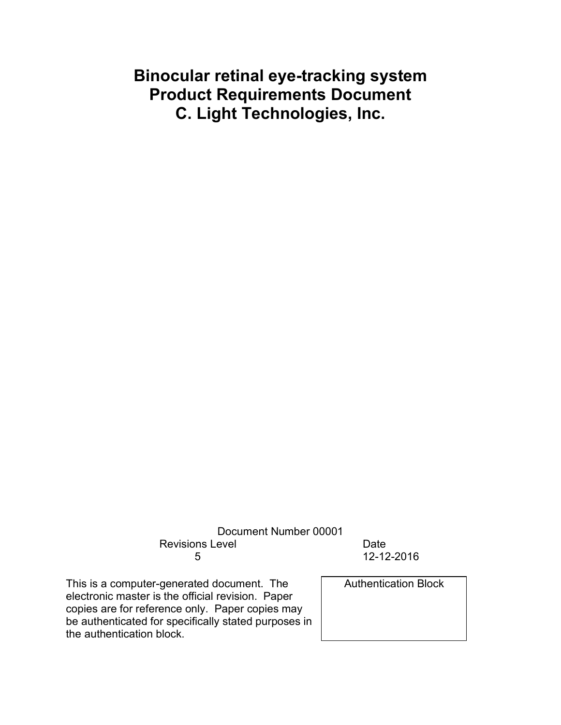# **Binocular retinal eye-tracking system Product Requirements Document C. Light Technologies, Inc.**

Document Number 00001 Revisions Level **Date** 5 12-12-2016

This is a computer-generated document. The electronic master is the official revision. Paper copies are for reference only. Paper copies may be authenticated for specifically stated purposes in the authentication block.

Authentication Block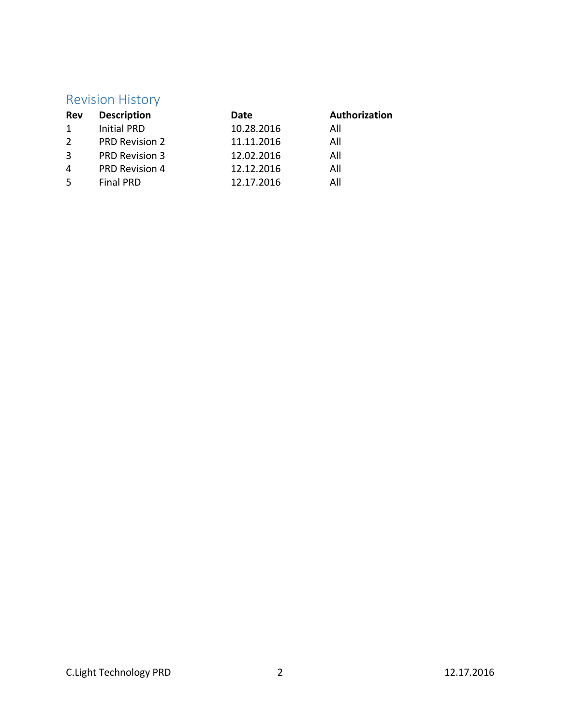# Revision History

| <b>Description</b>    | Date       | Authorization |
|-----------------------|------------|---------------|
| <b>Initial PRD</b>    | 10.28.2016 | All           |
| <b>PRD Revision 2</b> | 11.11.2016 | All           |
| PRD Revision 3        | 12.02.2016 | All           |
| PRD Revision 4        | 12.12.2016 | All           |
| <b>Final PRD</b>      | 12.17.2016 | Αll           |
|                       |            |               |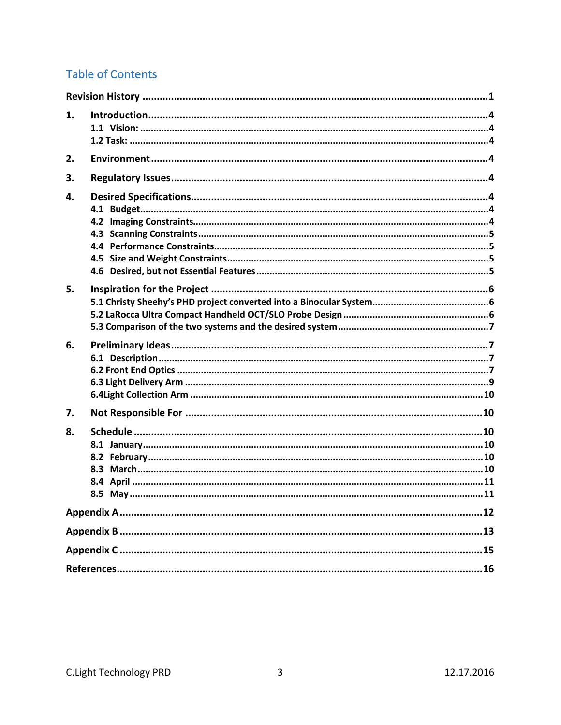# **Table of Contents**

| 1. |  |  |  |  |  |
|----|--|--|--|--|--|
| 2. |  |  |  |  |  |
| 3. |  |  |  |  |  |
| 4. |  |  |  |  |  |
| 5. |  |  |  |  |  |
| 6. |  |  |  |  |  |
| 7. |  |  |  |  |  |
| 8. |  |  |  |  |  |
|    |  |  |  |  |  |
|    |  |  |  |  |  |
|    |  |  |  |  |  |
|    |  |  |  |  |  |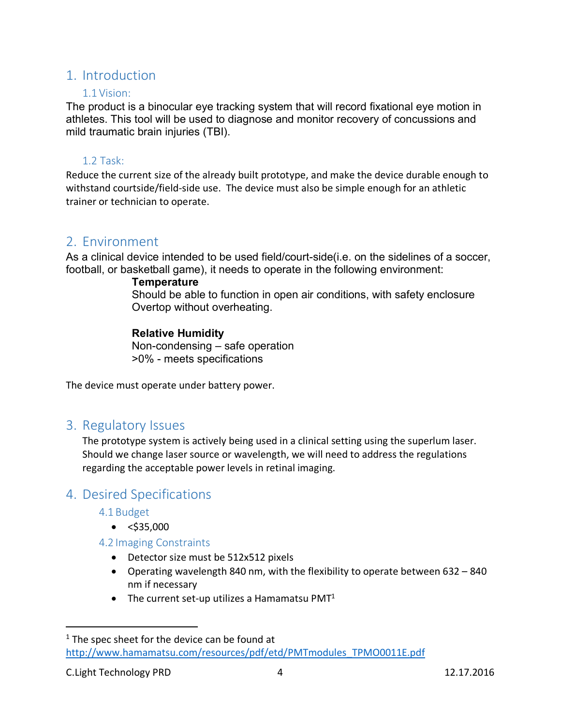# 1. Introduction

### 1.1 Vision:

The product is a binocular eye tracking system that will record fixational eye motion in athletes. This tool will be used to diagnose and monitor recovery of concussions and mild traumatic brain injuries (TBI).

### 1.2 Task:

Reduce the current size of the already built prototype, and make the device durable enough to withstand courtside/field-side use. The device must also be simple enough for an athletic trainer or technician to operate.

# 2. Environment

As a clinical device intended to be used field/court-side(i.e. on the sidelines of a soccer, football, or basketball game), it needs to operate in the following environment:

### **Temperature**

Should be able to function in open air conditions, with safety enclosure Overtop without overheating.

### **Relative Humidity**

Non-condensing – safe operation >0% - meets specifications

The device must operate under battery power.

# 3. Regulatory Issues

The prototype system is actively being used in a clinical setting using the superlum laser. Should we change laser source or wavelength, we will need to address the regulations regarding the acceptable power levels in retinal imaging.

# 4. Desired Specifications

4.1 Budget

- $\bullet$  <\$35,000
- 4.2 Imaging Constraints
	- Detector size must be 512x512 pixels
	- Operating wavelength 840 nm, with the flexibility to operate between 632 840 nm if necessary
	- The current set-up utilizes a Hamamatsu PMT $1$

 $1$  The spec sheet for the device can be found at http://www.hamamatsu.com/resources/pdf/etd/PMTmodules\_TPMO0011E.pdf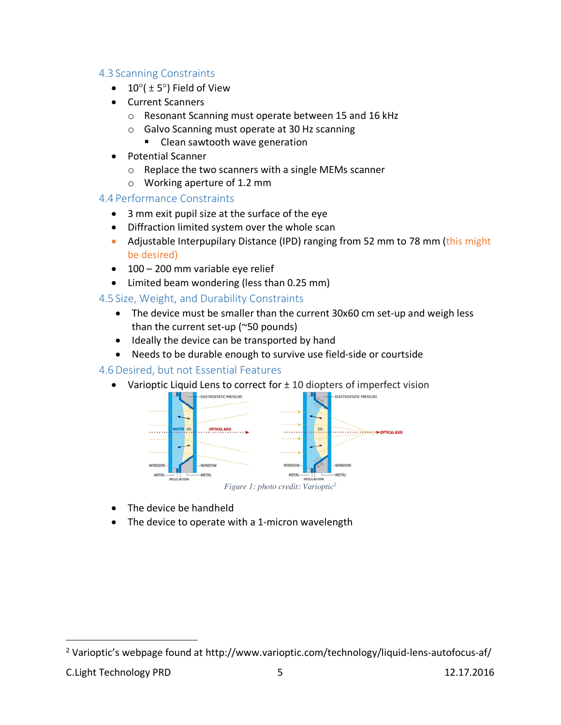### 4.3 Scanning Constraints

- $10^{\circ}$ ( ± 5°) Field of View
- Current Scanners
	- o Resonant Scanning must operate between 15 and 16 kHz
	- o Galvo Scanning must operate at 30 Hz scanning
		- Clean sawtooth wave generation
- Potential Scanner
	- o Replace the two scanners with a single MEMs scanner
	- o Working aperture of 1.2 mm

### 4.4 Performance Constraints

- 3 mm exit pupil size at the surface of the eye
- Diffraction limited system over the whole scan
- Adjustable Interpupilary Distance (IPD) ranging from 52 mm to 78 mm (this might be desired)
- 100 200 mm variable eye relief
- Limited beam wondering (less than 0.25 mm)

## 4.5 Size, Weight, and Durability Constraints

- The device must be smaller than the current 30x60 cm set-up and weigh less than the current set-up (~50 pounds)
- Ideally the device can be transported by hand
- Needs to be durable enough to survive use field-side or courtside

### 4.6Desired, but not Essential Features

• Varioptic Liquid Lens to correct for  $\pm$  10 diopters of imperfect vision



• The device be handheld

• The device to operate with a 1-micron wavelength

<sup>&</sup>lt;sup>2</sup> Varioptic's webpage found at http://www.varioptic.com/technology/liquid-lens-autofocus-af/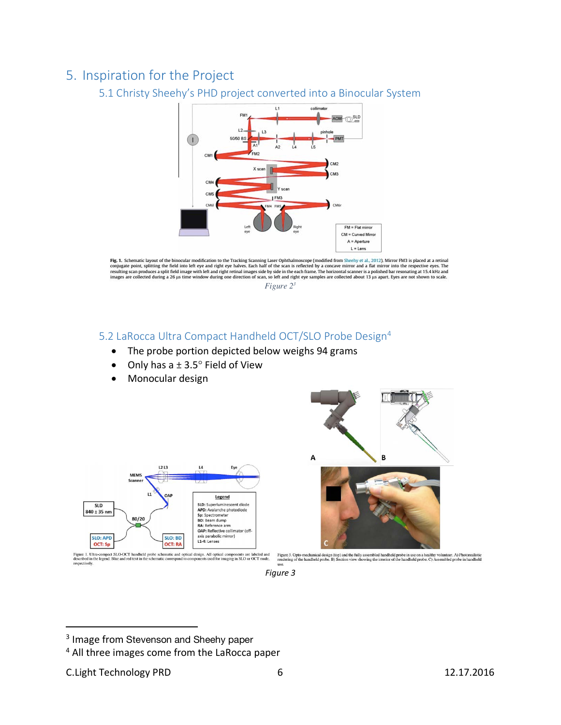# 5. Inspiration for the Project

## 5.1 Christy Sheehy's PHD project converted into a Binocular System



**Fig. 1.** Schematic layout of the binocular modification to the Tracking Scanning Laser Ophthalmoscope (modified from Sheehy et al., 2012). Mirror FM3 is placed at a retinal conjugate point, splitting the field into left

*Figure 23*

## 5.2 LaRocca Ultra Compact Handheld OCT/SLO Probe Design4

- The probe portion depicted below weighs 94 grams
- Only has  $a \pm 3.5^\circ$  Field of View
- Monocular design





<sup>&</sup>lt;sup>3</sup> Image from Stevenson and Sheehy paper

<sup>4</sup> All three images come from the LaRocca paper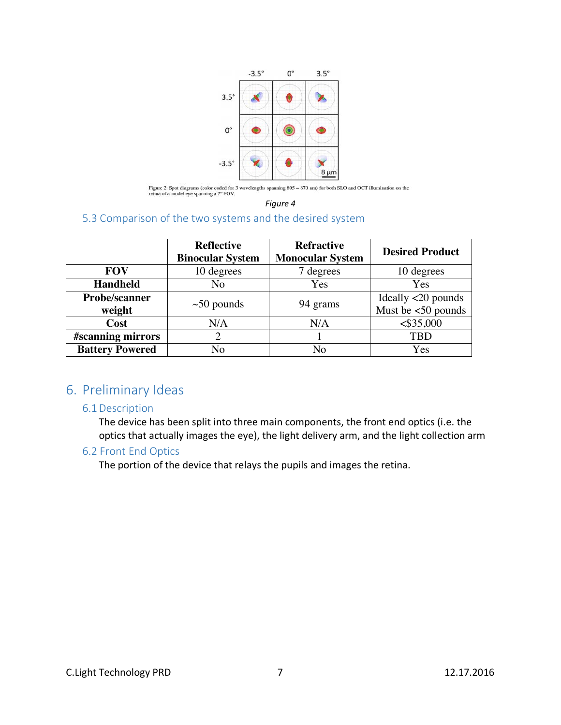

Figure 2. Spot diagrams (color coded for 3 wavelengths spanning 805 – 870 nm) for both SLO and OCT illumination on the retina of a model eye spanning a 7° FOV.

*Figure 4*

#### 5.3 Comparison of the two systems and the desired system

|                        | <b>Reflective</b><br><b>Binocular System</b> | <b>Refractive</b><br><b>Monocular System</b> | <b>Desired Product</b>              |
|------------------------|----------------------------------------------|----------------------------------------------|-------------------------------------|
| <b>FOV</b>             | 10 degrees                                   | 7 degrees                                    | 10 degrees                          |
| <b>Handheld</b>        | No                                           | Yes                                          | Yes                                 |
| Probe/scanner          |                                              | 94 grams                                     | Ideally $\langle 20 \text{ pounds}$ |
| weight                 | $\sim$ 50 pounds                             |                                              | Must be $<$ 50 pounds               |
| Cost                   | N/A                                          | N/A                                          | $<$ \$35,000                        |
| #scanning mirrors      | 2                                            |                                              | <b>TBD</b>                          |
| <b>Battery Powered</b> | No                                           | No                                           | Yes                                 |

# 6. Preliminary Ideas

#### 6.1Description

The device has been split into three main components, the front end optics (i.e. the optics that actually images the eye), the light delivery arm, and the light collection arm

#### 6.2 Front End Optics

The portion of the device that relays the pupils and images the retina.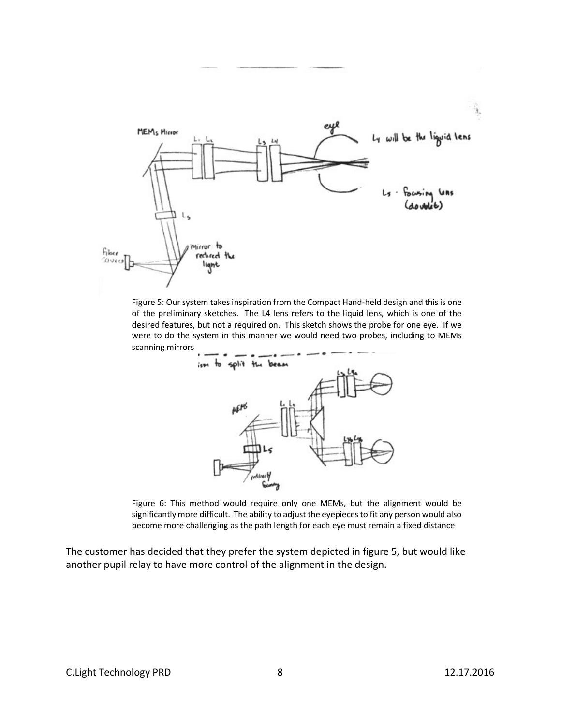

Figure 5: Our system takes inspiration from the Compact Hand-held design and this is one of the preliminary sketches. The L4 lens refers to the liquid lens, which is one of the desired features, but not a required on. This sketch shows the probe for one eye. If we were to do the system in this manner we would need two probes, including to MEMs scanning mirrors



Figure 6: This method would require only one MEMs, but the alignment would be significantly more difficult. The ability to adjust the eyepieces to fit any person would also become more challenging as the path length for each eye must remain a fixed distance

The customer has decided that they prefer the system depicted in figure 5, but would like another pupil relay to have more control of the alignment in the design.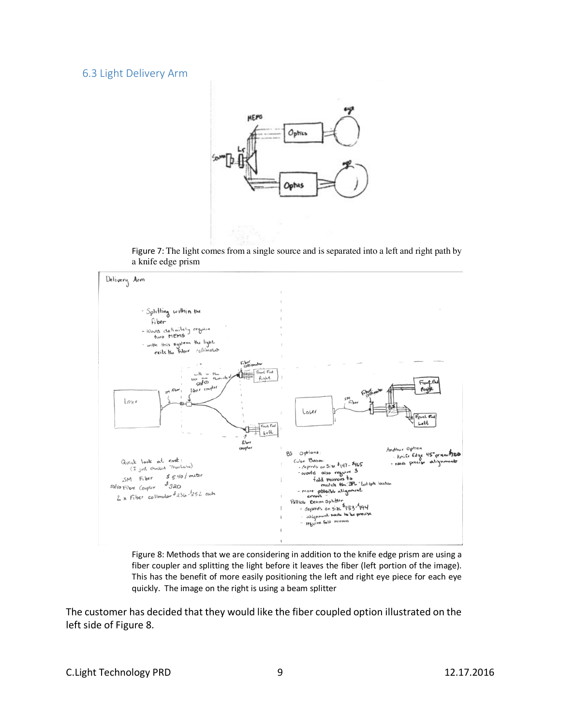#### 6.3 Light Delivery Arm



Figure 7: The light comes from a single source and is separated into a left and right path by a knife edge prism





The customer has decided that they would like the fiber coupled option illustrated on the left side of Figure 8.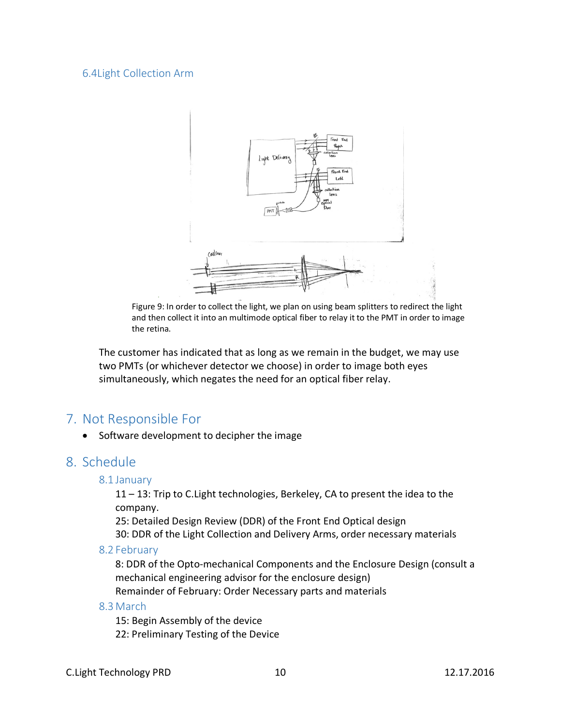#### 6.4Light Collection Arm



Figure 9: In order to collect the light, we plan on using beam splitters to redirect the light and then collect it into an multimode optical fiber to relay it to the PMT in order to image the retina.

The customer has indicated that as long as we remain in the budget, we may use two PMTs (or whichever detector we choose) in order to image both eyes simultaneously, which negates the need for an optical fiber relay.

## 7. Not Responsible For

• Software development to decipher the image

### 8. Schedule

#### 8.1 January

11 – 13: Trip to C.Light technologies, Berkeley, CA to present the idea to the company.

25: Detailed Design Review (DDR) of the Front End Optical design

30: DDR of the Light Collection and Delivery Arms, order necessary materials

#### 8.2 February

8: DDR of the Opto-mechanical Components and the Enclosure Design (consult a mechanical engineering advisor for the enclosure design) Remainder of February: Order Necessary parts and materials

#### 8.3 March

15: Begin Assembly of the device

22: Preliminary Testing of the Device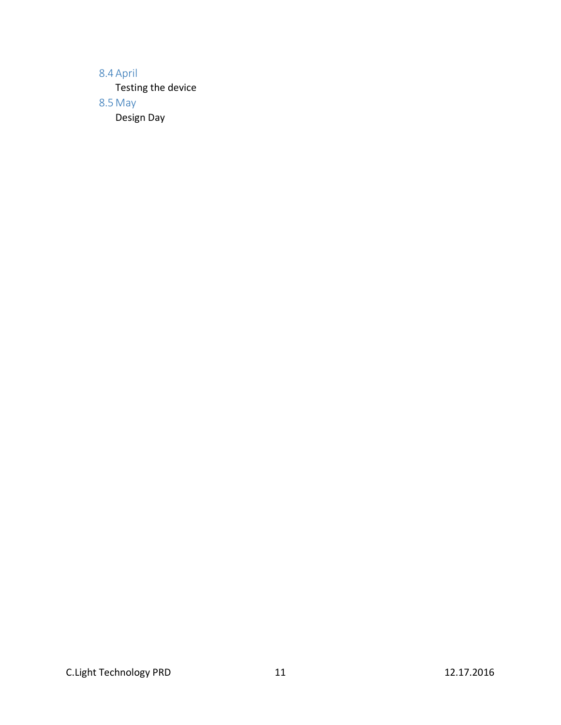## 8.4 April

Testing the device

8.5 May

Design Day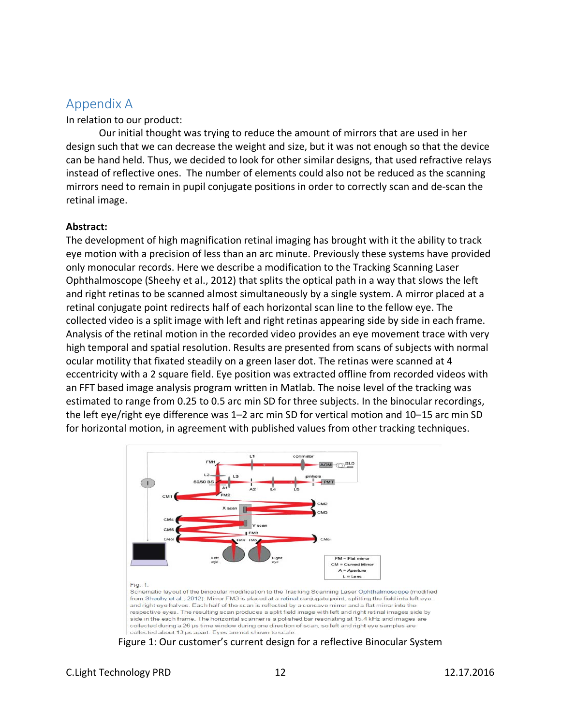# Appendix A

In relation to our product:

Our initial thought was trying to reduce the amount of mirrors that are used in her design such that we can decrease the weight and size, but it was not enough so that the device can be hand held. Thus, we decided to look for other similar designs, that used refractive relays instead of reflective ones. The number of elements could also not be reduced as the scanning mirrors need to remain in pupil conjugate positions in order to correctly scan and de-scan the retinal image.

#### **Abstract:**

The development of high magnification retinal imaging has brought with it the ability to track eye motion with a precision of less than an arc minute. Previously these systems have provided only monocular records. Here we describe a modification to the Tracking Scanning Laser Ophthalmoscope (Sheehy et al., 2012) that splits the optical path in a way that slows the left and right retinas to be scanned almost simultaneously by a single system. A mirror placed at a retinal conjugate point redirects half of each horizontal scan line to the fellow eye. The collected video is a split image with left and right retinas appearing side by side in each frame. Analysis of the retinal motion in the recorded video provides an eye movement trace with very high temporal and spatial resolution. Results are presented from scans of subjects with normal ocular motility that fixated steadily on a green laser dot. The retinas were scanned at 4 eccentricity with a 2 square field. Eye position was extracted offline from recorded videos with an FFT based image analysis program written in Matlab. The noise level of the tracking was estimated to range from 0.25 to 0.5 arc min SD for three subjects. In the binocular recordings, the left eye/right eye difference was 1–2 arc min SD for vertical motion and 10–15 arc min SD for horizontal motion, in agreement with published values from other tracking techniques.



from Sheehy et al., 2012). Mirror FM3 is placed at a retinal conjugate point, splitting the field into left eye and right eye halves. Each half of the scan is reflected by a concave mirror and a flat mirror into the respective eves. The resulting scan produces a split field image with left and right retinal images side by side in the each frame. The horizontal scanner is a polished bar resonating at 15.4 kHz and images are collected during a 26 us time window during one direction of scan, so left and right eye samples are collected about 13 us apart. Eyes are not shown to scale

Figure 1: Our customer's current design for a reflective Binocular System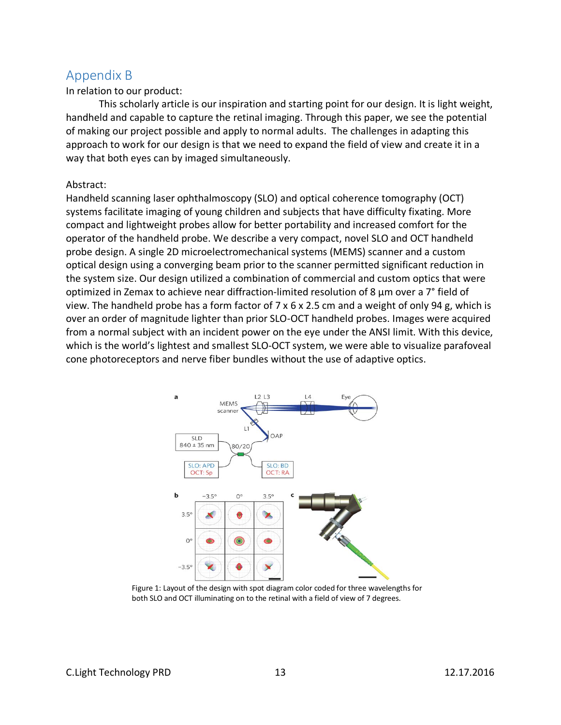# Appendix B

In relation to our product:

This scholarly article is our inspiration and starting point for our design. It is light weight, handheld and capable to capture the retinal imaging. Through this paper, we see the potential of making our project possible and apply to normal adults. The challenges in adapting this approach to work for our design is that we need to expand the field of view and create it in a way that both eyes can by imaged simultaneously.

#### Abstract:

Handheld scanning laser ophthalmoscopy (SLO) and optical coherence tomography (OCT) systems facilitate imaging of young children and subjects that have difficulty fixating. More compact and lightweight probes allow for better portability and increased comfort for the operator of the handheld probe. We describe a very compact, novel SLO and OCT handheld probe design. A single 2D microelectromechanical systems (MEMS) scanner and a custom optical design using a converging beam prior to the scanner permitted significant reduction in the system size. Our design utilized a combination of commercial and custom optics that were optimized in Zemax to achieve near diffraction-limited resolution of 8 µm over a 7° field of view. The handheld probe has a form factor of 7 x 6 x 2.5 cm and a weight of only 94 g, which is over an order of magnitude lighter than prior SLO-OCT handheld probes. Images were acquired from a normal subject with an incident power on the eye under the ANSI limit. With this device, which is the world's lightest and smallest SLO-OCT system, we were able to visualize parafoveal cone photoreceptors and nerve fiber bundles without the use of adaptive optics.



Figure 1: Layout of the design with spot diagram color coded for three wavelengths for both SLO and OCT illuminating on to the retinal with a field of view of 7 degrees.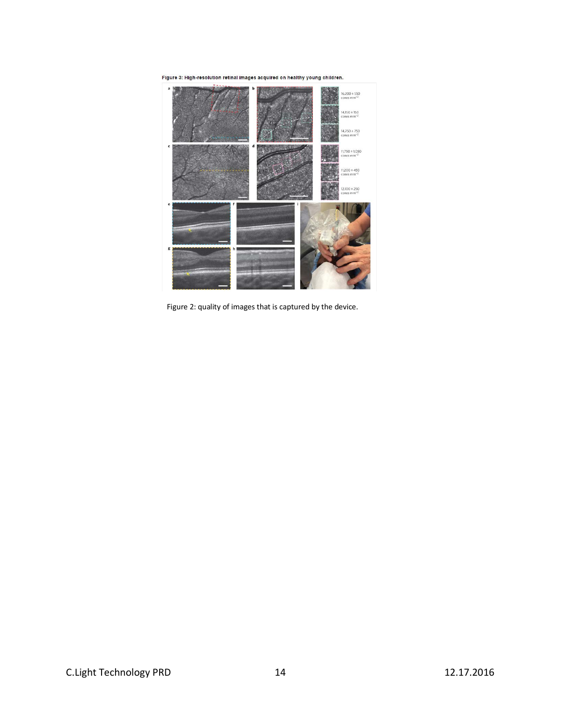

Figure 2: quality of images that is captured by the device.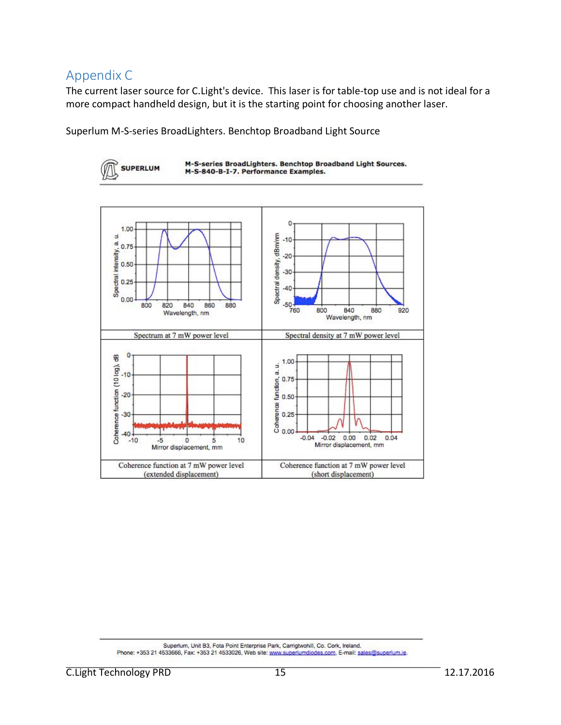# Appendix C

The current laser source for C.Light's device. This laser is for table-top use and is not ideal for a more compact handheld design, but it is the starting point for choosing another laser.

Superlum M-S-series BroadLighters. Benchtop Broadband Light Source



Superlum, Unit B3, Fota Point Enterprise Park, Carrigtwohill, Co. Cork, Ireland. Phone: +353 21 4533666, Fax: +353 21 4533026, Web site: www.superlumdiodes.com, E-mail: sales@superlum.ie.